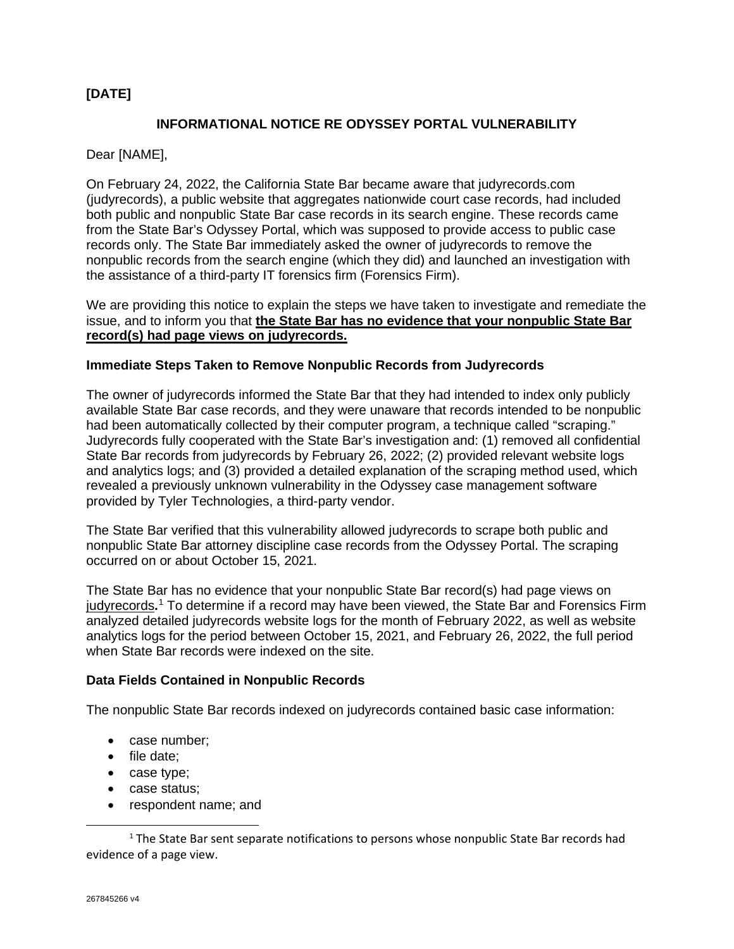# **[DATE]**

## **INFORMATIONAL NOTICE RE ODYSSEY PORTAL VULNERABILITY**

Dear [NAME],

On February 24, 2022, the California State Bar became aware that judyrecords.com (judyrecords), a public website that aggregates nationwide court case records, had included both public and nonpublic State Bar case records in its search engine. These records came from the State Bar's Odyssey Portal, which was supposed to provide access to public case records only. The State Bar immediately asked the owner of judyrecords to remove the nonpublic records from the search engine (which they did) and launched an investigation with the assistance of a third-party IT forensics firm (Forensics Firm).

We are providing this notice to explain the steps we have taken to investigate and remediate the issue, and to inform you that **the State Bar has no evidence that your nonpublic State Bar record(s) had page views on judyrecords.**

### **Immediate Steps Taken to Remove Nonpublic Records from Judyrecords**

The owner of judyrecords informed the State Bar that they had intended to index only publicly available State Bar case records, and they were unaware that records intended to be nonpublic had been automatically collected by their computer program, a technique called "scraping." Judyrecords fully cooperated with the State Bar's investigation and: (1) removed all confidential State Bar records from judyrecords by February 26, 2022; (2) provided relevant website logs and analytics logs; and (3) provided a detailed explanation of the scraping method used, which revealed a previously unknown vulnerability in the Odyssey case management software provided by Tyler Technologies, a third-party vendor.

The State Bar verified that this vulnerability allowed judyrecords to scrape both public and nonpublic State Bar attorney discipline case records from the Odyssey Portal. The scraping occurred on or about October 15, 2021.

The State Bar has no evidence that your nonpublic State Bar record(s) had page views on judyrecords**.** [1](#page-0-0) To determine if a record may have been viewed, the State Bar and Forensics Firm analyzed detailed judyrecords website logs for the month of February 2022, as well as website analytics logs for the period between October 15, 2021, and February 26, 2022, the full period when State Bar records were indexed on the site.

#### **Data Fields Contained in Nonpublic Records**

The nonpublic State Bar records indexed on judyrecords contained basic case information:

- case number;
- file date;
- case type;
- case status;
- respondent name; and

<span id="page-0-0"></span><sup>1</sup> The State Bar sent separate notifications to persons whose nonpublic State Bar records had evidence of a page view.